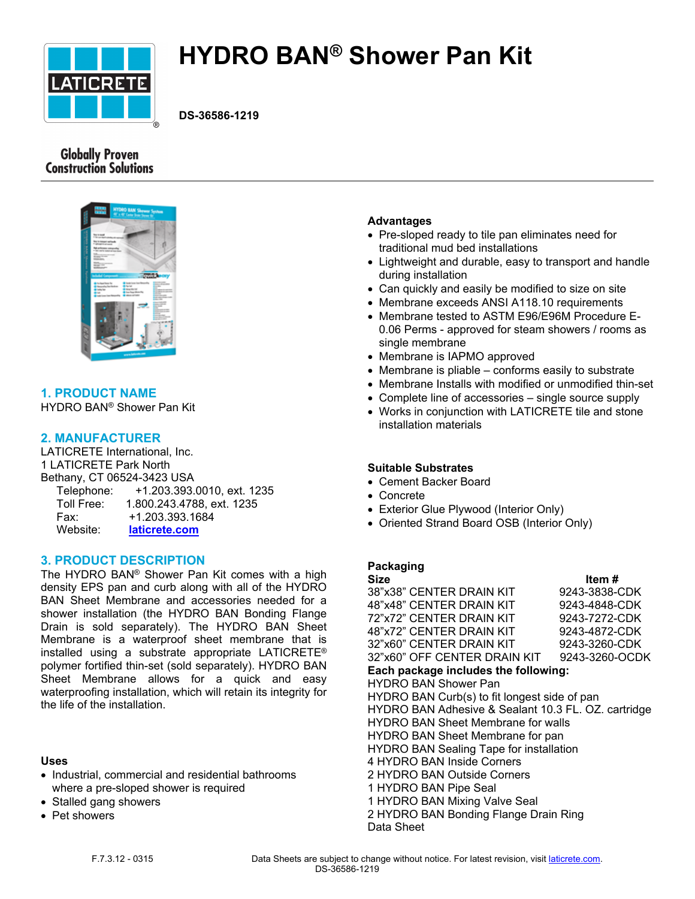

# **HYDRO BAN® Shower Pan Kit**

**DS-36586-1219**

# **Globally Proven Construction Solutions**



# **1. PRODUCT NAME**

HYDRO BAN® Shower Pan Kit

## **2. MANUFACTURER**

LATICRETE International, Inc. 1 LATICRETE Park North Bethany, CT 06524-3423 USA Telephone: +1.203.393.0010, ext. 1235 Toll Free: 1.800.243.4788, ext. 1235 Fax: +1.203.393.1684 Website: **[laticrete.com](https://laticrete.com/)**

#### **3. PRODUCT DESCRIPTION**

The HYDRO BAN® Shower Pan Kit comes with a high density EPS pan and curb along with all of the HYDRO BAN Sheet Membrane and accessories needed for a shower installation (the HYDRO BAN Bonding Flange Drain is sold separately). The HYDRO BAN Sheet Membrane is a waterproof sheet membrane that is installed using a substrate appropriate LATICRETE® polymer fortified thin-set (sold separately). HYDRO BAN Sheet Membrane allows for a quick and easy waterproofing installation, which will retain its integrity for the life of the installation.

#### **Uses**

- Industrial, commercial and residential bathrooms where a pre-sloped shower is required
- Stalled gang showers
- Pet showers

#### **Advantages**

- Pre-sloped ready to tile pan eliminates need for traditional mud bed installations
- Lightweight and durable, easy to transport and handle during installation
- Can quickly and easily be modified to size on site
- Membrane exceeds ANSI A118.10 requirements
- Membrane tested to ASTM E96/E96M Procedure E-0.06 Perms - approved for steam showers / rooms as single membrane
- Membrane is IAPMO approved
- Membrane is pliable conforms easily to substrate
- Membrane Installs with modified or unmodified thin-set
- Complete line of accessories single source supply
- Works in conjunction with LATICRETE tile and stone installation materials

#### **Suitable Substrates**

- Cement Backer Board
- Concrete
- Exterior Glue Plywood (Interior Only)
- Oriented Strand Board OSB (Interior Only)

## **Packaging**

| Size                                                | Item#          |
|-----------------------------------------------------|----------------|
| 38"x38" CENTER DRAIN KIT                            | 9243-3838-CDK  |
| 48"x48" CENTER DRAIN KIT                            | 9243-4848-CDK  |
| 72"x72" CENTER DRAIN KIT                            | 9243-7272-CDK  |
| 48"x72" CENTER DRAIN KIT                            | 9243-4872-CDK  |
| 32"x60" CENTER DRAIN KIT                            | 9243-3260-CDK  |
| 32"x60" OFF CENTER DRAIN KIT                        | 9243-3260-OCDK |
| Each package includes the following:                |                |
| <b>HYDRO BAN Shower Pan</b>                         |                |
| HYDRO BAN Curb(s) to fit longest side of pan        |                |
| HYDRO BAN Adhesive & Sealant 10.3 FL. OZ. cartridge |                |
| <b>HYDRO BAN Sheet Membrane for walls</b>           |                |
| HYDRO BAN Sheet Membrane for pan                    |                |
| <b>HYDRO BAN Sealing Tape for installation</b>      |                |
| 4 HYDRO BAN Inside Corners                          |                |
| 2 HYDRO BAN Outside Corners                         |                |
| 1 HYDRO BAN Pipe Seal                               |                |
| 1 HYDRO BAN Mixing Valve Seal                       |                |
| 2 HYDRO BAN Bonding Flange Drain Ring               |                |
| Data Sheet                                          |                |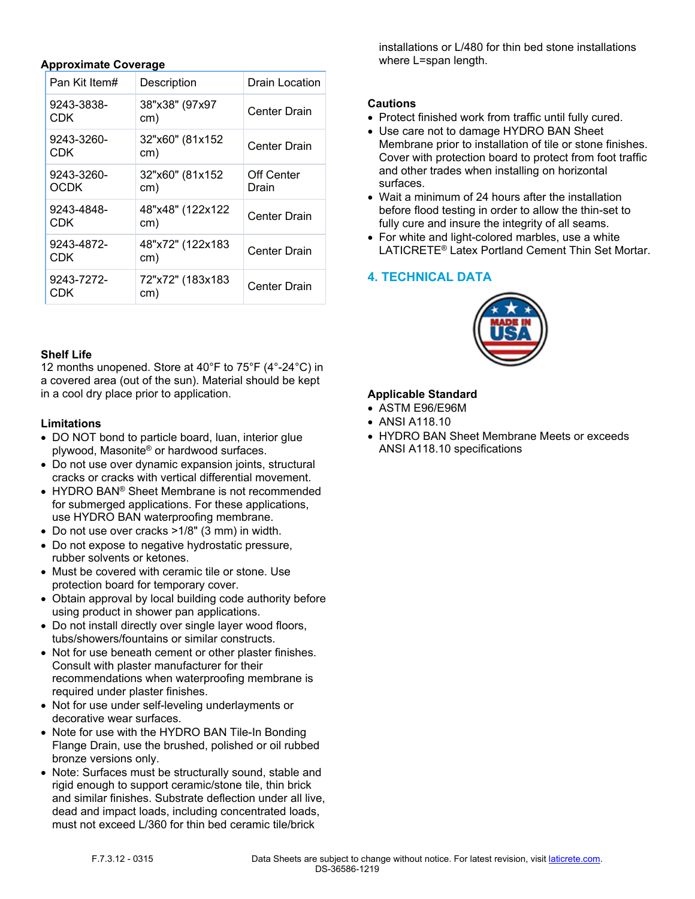#### **Approximate Coverage**

| Pan Kit Item#      | Description             | Drain Location      |
|--------------------|-------------------------|---------------------|
| 9243-3838-<br>CDK  | 38"x38" (97x97<br>cm)   | <b>Center Drain</b> |
| 9243-3260-<br>CDK  | 32"x60" (81x152<br>cm)  | <b>Center Drain</b> |
| 9243-3260-<br>OCDK | 32"x60" (81x152<br>cm)  | Off Center<br>Drain |
| 9243-4848-<br>CDK  | 48"x48" (122x122<br>cm) | <b>Center Drain</b> |
| 9243-4872-<br>CDK  | 48"x72" (122x183<br>cm) | <b>Center Drain</b> |
| 9243-7272-<br>CDK  | 72"x72" (183x183<br>cm) | <b>Center Drain</b> |

#### **Shelf Life**

12 months unopened. Store at 40°F to 75°F (4°-24°C) in a covered area (out of the sun). Material should be kept in a cool dry place prior to application.

#### **Limitations**

- DO NOT bond to particle board, luan, interior glue plywood, Masonite® or hardwood surfaces.
- Do not use over dynamic expansion joints, structural cracks or cracks with vertical differential movement.
- HYDRO BAN® Sheet Membrane is not recommended for submerged applications. For these applications, use HYDRO BAN waterproofing membrane.
- Do not use over cracks >1/8" (3 mm) in width.
- Do not expose to negative hydrostatic pressure, rubber solvents or ketones.
- Must be covered with ceramic tile or stone. Use protection board for temporary cover.
- Obtain approval by local building code authority before using product in shower pan applications.
- Do not install directly over single layer wood floors, tubs/showers/fountains or similar constructs.
- Not for use beneath cement or other plaster finishes. Consult with plaster manufacturer for their recommendations when waterproofing membrane is required under plaster finishes.
- Not for use under self-leveling underlayments or decorative wear surfaces.
- Note for use with the HYDRO BAN Tile-In Bonding Flange Drain, use the brushed, polished or oil rubbed bronze versions only.
- Note: Surfaces must be structurally sound, stable and rigid enough to support ceramic/stone tile, thin brick and similar finishes. Substrate deflection under all live, dead and impact loads, including concentrated loads, must not exceed L/360 for thin bed ceramic tile/brick

installations or L/480 for thin bed stone installations where L=span length.

#### **Cautions**

- Protect finished work from traffic until fully cured.
- Use care not to damage HYDRO BAN Sheet Membrane prior to installation of tile or stone finishes. Cover with protection board to protect from foot traffic and other trades when installing on horizontal surfaces.
- Wait a minimum of 24 hours after the installation before flood testing in order to allow the thin-set to fully cure and insure the integrity of all seams.
- For white and light-colored marbles, use a white LATICRETE® Latex Portland Cement Thin Set Mortar.

## **4. TECHNICAL DATA**



#### **Applicable Standard**

- ASTM E96/E96M
- ANSI A118.10
- HYDRO BAN Sheet Membrane Meets or exceeds ANSI A118.10 specifications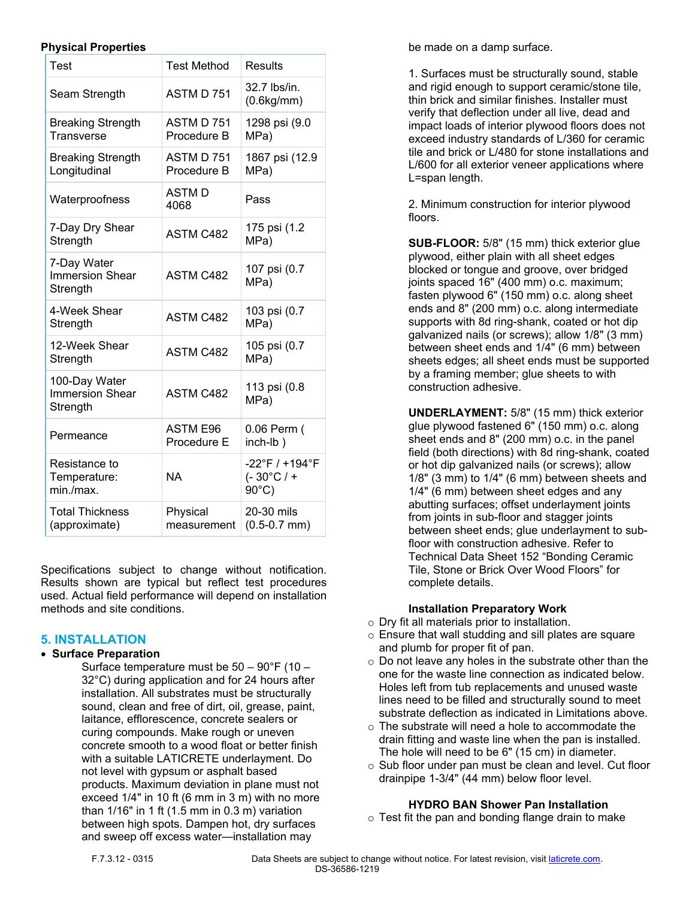#### **Physical Properties**

| Test                                                | <b>Test Method</b>             | Results                                                                      |
|-----------------------------------------------------|--------------------------------|------------------------------------------------------------------------------|
| Seam Strength                                       | ASTM D 751                     | 32.7 lbs/in.<br>(0.6kg/mm)                                                   |
| <b>Breaking Strength</b><br>Transverse              | ASTM D 751<br>Procedure B      | 1298 psi (9.0<br>MPa)                                                        |
| <b>Breaking Strength</b><br>Longitudinal            | ASTM D 751<br>Procedure B      | 1867 psi (12.9<br>MPa)                                                       |
| Waterproofness                                      | <b>ASTMD</b><br>4068           | Pass                                                                         |
| 7-Day Dry Shear<br>Strength                         | <b>ASTM C482</b>               | 175 psi (1.2<br>MPa)                                                         |
| 7-Day Water<br><b>Immersion Shear</b><br>Strength   | ASTM C482                      | 107 psi (0.7<br>MPa)                                                         |
| 4-Week Shear<br>Strength                            | <b>ASTM C482</b>               | 103 psi (0.7<br>MPa)                                                         |
| 12-Week Shear<br>Strength                           | <b>ASTM C482</b>               | 105 psi (0.7<br>MPa)                                                         |
| 100-Day Water<br><b>Immersion Shear</b><br>Strength | <b>ASTM C482</b>               | 113 psi (0.8<br>MPa)                                                         |
| Permeance                                           | <b>ASTM E96</b><br>Procedure E | 0.06 Perm (<br>inch-lb)                                                      |
| Resistance to<br>Temperature:<br>min./max.          | ΝA                             | $-22^{\circ}$ F / +194 $^{\circ}$ F<br>$(-30^{\circ}C/$ +<br>$90^{\circ}$ C) |
| <b>Total Thickness</b><br>(approximate)             | Physical<br>measurement        | 20-30 mils<br>$(0.5 - 0.7$ mm)                                               |

Specifications subject to change without notification. Results shown are typical but reflect test procedures used. Actual field performance will depend on installation methods and site conditions.

## **5. INSTALLATION**

#### **Surface Preparation**

Surface temperature must be 50 – 90°F (10 – 32°C) during application and for 24 hours after installation. All substrates must be structurally sound, clean and free of dirt, oil, grease, paint, laitance, efflorescence, concrete sealers or curing compounds. Make rough or uneven concrete smooth to a wood float or better finish with a suitable LATICRETE underlayment. Do not level with gypsum or asphalt based products. Maximum deviation in plane must not exceed 1/4" in 10 ft (6 mm in 3 m) with no more than 1/16" in 1 ft (1.5 mm in 0.3 m) variation between high spots. Dampen hot, dry surfaces and sweep off excess water—installation may

be made on a damp surface.

1. Surfaces must be structurally sound, stable and rigid enough to support ceramic/stone tile, thin brick and similar finishes. Installer must verify that deflection under all live, dead and impact loads of interior plywood floors does not exceed industry standards of L/360 for ceramic tile and brick or L/480 for stone installations and L/600 for all exterior veneer applications where L=span length.

2. Minimum construction for interior plywood floors.

**SUB-FLOOR:** 5/8" (15 mm) thick exterior glue plywood, either plain with all sheet edges blocked or tongue and groove, over bridged joints spaced 16" (400 mm) o.c. maximum; fasten plywood 6" (150 mm) o.c. along sheet ends and 8" (200 mm) o.c. along intermediate supports with 8d ring-shank, coated or hot dip galvanized nails (or screws); allow 1/8" (3 mm) between sheet ends and 1/4" (6 mm) between sheets edges; all sheet ends must be supported by a framing member; glue sheets to with construction adhesive.

**UNDERLAYMENT:** 5/8" (15 mm) thick exterior glue plywood fastened 6" (150 mm) o.c. along sheet ends and 8" (200 mm) o.c. in the panel field (both directions) with 8d ring-shank, coated or hot dip galvanized nails (or screws); allow 1/8" (3 mm) to 1/4" (6 mm) between sheets and 1/4" (6 mm) between sheet edges and any abutting surfaces; offset underlayment joints from joints in sub-floor and stagger joints between sheet ends; glue underlayment to subfloor with construction adhesive. Refer to Technical Data Sheet 152 "Bonding Ceramic Tile, Stone or Brick Over Wood Floors" for complete details.

## **Installation Preparatory Work**

- o Dry fit all materials prior to installation.
- o Ensure that wall studding and sill plates are square and plumb for proper fit of pan.
- o Do not leave any holes in the substrate other than the one for the waste line connection as indicated below. Holes left from tub replacements and unused waste lines need to be filled and structurally sound to meet substrate deflection as indicated in Limitations above.
- o The substrate will need a hole to accommodate the drain fitting and waste line when the pan is installed. The hole will need to be 6" (15 cm) in diameter.
- o Sub floor under pan must be clean and level. Cut floor drainpipe 1-3/4" (44 mm) below floor level.

## **HYDRO BAN Shower Pan Installation**

 $\circ$  Test fit the pan and bonding flange drain to make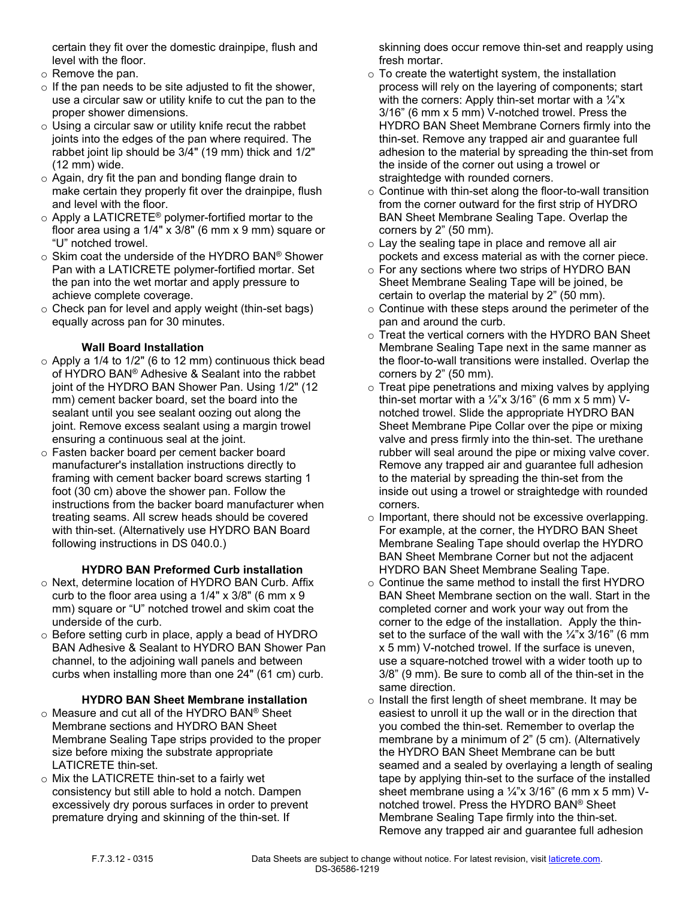certain they fit over the domestic drainpipe, flush and level with the floor.

- o Remove the pan.
- $\circ$  If the pan needs to be site adjusted to fit the shower, use a circular saw or utility knife to cut the pan to the proper shower dimensions.
- $\circ$  Using a circular saw or utility knife recut the rabbet joints into the edges of the pan where required. The rabbet joint lip should be 3/4" (19 mm) thick and 1/2" (12 mm) wide.
- o Again, dry fit the pan and bonding flange drain to make certain they properly fit over the drainpipe, flush and level with the floor.
- $\circ$  Apply a LATICRETE® polymer-fortified mortar to the floor area using a 1/4" x 3/8" (6 mm x 9 mm) square or "U" notched trowel.
- o Skim coat the underside of the HYDRO BAN® Shower Pan with a LATICRETE polymer-fortified mortar. Set the pan into the wet mortar and apply pressure to achieve complete coverage.
- $\circ$  Check pan for level and apply weight (thin-set bags) equally across pan for 30 minutes.

## **Wall Board Installation**

- $\circ$  Apply a 1/4 to 1/2" (6 to 12 mm) continuous thick bead of HYDRO BAN® Adhesive & Sealant into the rabbet joint of the HYDRO BAN Shower Pan. Using 1/2" (12 mm) cement backer board, set the board into the sealant until you see sealant oozing out along the joint. Remove excess sealant using a margin trowel ensuring a continuous seal at the joint.
- o Fasten backer board per cement backer board manufacturer's installation instructions directly to framing with cement backer board screws starting 1 foot (30 cm) above the shower pan. Follow the instructions from the backer board manufacturer when treating seams. All screw heads should be covered with thin-set. (Alternatively use HYDRO BAN Board following instructions in DS 040.0.)

#### **HYDRO BAN Preformed Curb installation**

- o Next, determine location of HYDRO BAN Curb. Affix curb to the floor area using a 1/4" x 3/8" (6 mm x 9 mm) square or "U" notched trowel and skim coat the underside of the curb.
- o Before setting curb in place, apply a bead of HYDRO BAN Adhesive & Sealant to HYDRO BAN Shower Pan channel, to the adjoining wall panels and between curbs when installing more than one 24" (61 cm) curb.

#### **HYDRO BAN Sheet Membrane installation**

- o Measure and cut all of the HYDRO BAN® Sheet Membrane sections and HYDRO BAN Sheet Membrane Sealing Tape strips provided to the proper size before mixing the substrate appropriate LATICRETE thin-set.
- o Mix the LATICRETE thin-set to a fairly wet consistency but still able to hold a notch. Dampen excessively dry porous surfaces in order to prevent premature drying and skinning of the thin-set. If

skinning does occur remove thin-set and reapply using fresh mortar.

- $\circ$  To create the watertight system, the installation process will rely on the layering of components; start with the corners: Apply thin-set mortar with a  $\frac{1}{4}x$ 3/16" (6 mm x 5 mm) V-notched trowel. Press the HYDRO BAN Sheet Membrane Corners firmly into the thin-set. Remove any trapped air and guarantee full adhesion to the material by spreading the thin-set from the inside of the corner out using a trowel or straightedge with rounded corners.
- $\circ$  Continue with thin-set along the floor-to-wall transition from the corner outward for the first strip of HYDRO BAN Sheet Membrane Sealing Tape. Overlap the corners by 2" (50 mm).
- o Lay the sealing tape in place and remove all air pockets and excess material as with the corner piece.
- o For any sections where two strips of HYDRO BAN Sheet Membrane Sealing Tape will be joined, be certain to overlap the material by 2" (50 mm).
- $\circ$  Continue with these steps around the perimeter of the pan and around the curb.
- o Treat the vertical corners with the HYDRO BAN Sheet Membrane Sealing Tape next in the same manner as the floor-to-wall transitions were installed. Overlap the corners by 2" (50 mm).
- $\circ$  Treat pipe penetrations and mixing valves by applying thin-set mortar with a  $\frac{1}{4}x$  3/16" (6 mm x 5 mm) Vnotched trowel. Slide the appropriate HYDRO BAN Sheet Membrane Pipe Collar over the pipe or mixing valve and press firmly into the thin-set. The urethane rubber will seal around the pipe or mixing valve cover. Remove any trapped air and guarantee full adhesion to the material by spreading the thin-set from the inside out using a trowel or straightedge with rounded corners.
- o Important, there should not be excessive overlapping. For example, at the corner, the HYDRO BAN Sheet Membrane Sealing Tape should overlap the HYDRO BAN Sheet Membrane Corner but not the adjacent HYDRO BAN Sheet Membrane Sealing Tape.
- o Continue the same method to install the first HYDRO BAN Sheet Membrane section on the wall. Start in the completed corner and work your way out from the corner to the edge of the installation. Apply the thinset to the surface of the wall with the  $\frac{1}{4}x$  3/16" (6 mm x 5 mm) V-notched trowel. If the surface is uneven, use a square-notched trowel with a wider tooth up to 3/8" (9 mm). Be sure to comb all of the thin-set in the same direction.
- o Install the first length of sheet membrane. It may be easiest to unroll it up the wall or in the direction that you combed the thin-set. Remember to overlap the membrane by a minimum of 2" (5 cm). (Alternatively the HYDRO BAN Sheet Membrane can be butt seamed and a sealed by overlaying a length of sealing tape by applying thin-set to the surface of the installed sheet membrane using a  $\frac{1}{4}$ "x 3/16" (6 mm x 5 mm) Vnotched trowel. Press the HYDRO BAN® Sheet Membrane Sealing Tape firmly into the thin-set. Remove any trapped air and guarantee full adhesion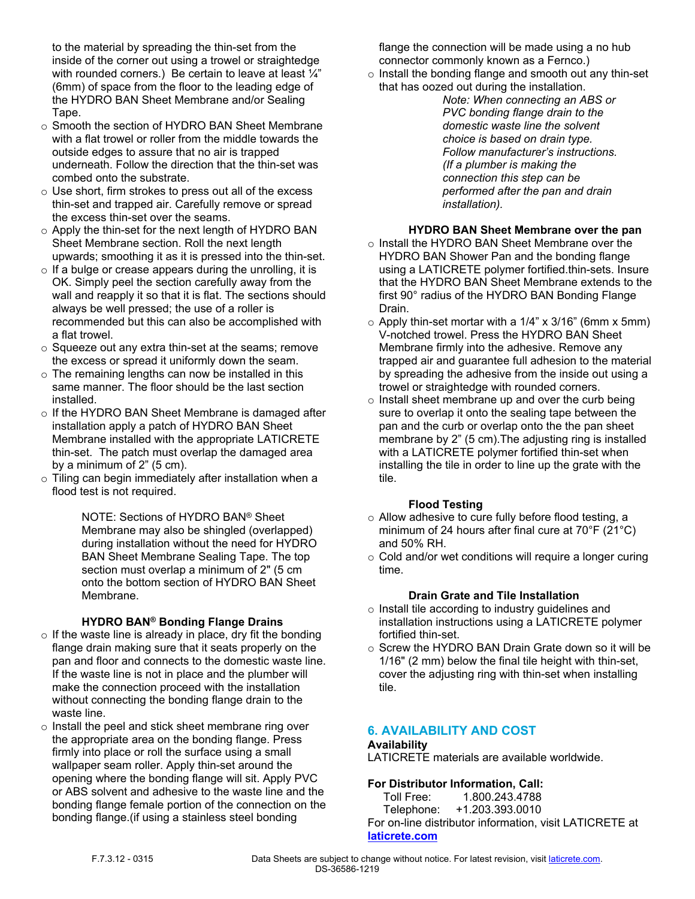to the material by spreading the thin-set from the inside of the corner out using a trowel or straightedge with rounded corners.) Be certain to leave at least  $\frac{1}{4}$ " (6mm) of space from the floor to the leading edge of the HYDRO BAN Sheet Membrane and/or Sealing Tape.

- o Smooth the section of HYDRO BAN Sheet Membrane with a flat trowel or roller from the middle towards the outside edges to assure that no air is trapped underneath. Follow the direction that the thin-set was combed onto the substrate.
- o Use short, firm strokes to press out all of the excess thin-set and trapped air. Carefully remove or spread the excess thin-set over the seams.
- o Apply the thin-set for the next length of HYDRO BAN Sheet Membrane section. Roll the next length upwards; smoothing it as it is pressed into the thin-set.
- $\circ$  If a bulge or crease appears during the unrolling, it is OK. Simply peel the section carefully away from the wall and reapply it so that it is flat. The sections should always be well pressed; the use of a roller is recommended but this can also be accomplished with a flat trowel.
- o Squeeze out any extra thin-set at the seams; remove the excess or spread it uniformly down the seam.
- $\circ$  The remaining lengths can now be installed in this same manner. The floor should be the last section installed.
- o If the HYDRO BAN Sheet Membrane is damaged after installation apply a patch of HYDRO BAN Sheet Membrane installed with the appropriate LATICRETE thin-set. The patch must overlap the damaged area by a minimum of 2" (5 cm).
- $\circ$  Tiling can begin immediately after installation when a flood test is not required.

NOTE: Sections of HYDRO BAN® Sheet Membrane may also be shingled (overlapped) during installation without the need for HYDRO BAN Sheet Membrane Sealing Tape. The top section must overlap a minimum of 2" (5 cm onto the bottom section of HYDRO BAN Sheet Membrane.

#### **HYDRO BAN® Bonding Flange Drains**

- $\circ$  If the waste line is already in place, dry fit the bonding flange drain making sure that it seats properly on the pan and floor and connects to the domestic waste line. If the waste line is not in place and the plumber will make the connection proceed with the installation without connecting the bonding flange drain to the waste line.
- o Install the peel and stick sheet membrane ring over the appropriate area on the bonding flange. Press firmly into place or roll the surface using a small wallpaper seam roller. Apply thin-set around the opening where the bonding flange will sit. Apply PVC or ABS solvent and adhesive to the waste line and the bonding flange female portion of the connection on the bonding flange.(if using a stainless steel bonding

flange the connection will be made using a no hub connector commonly known as a Fernco.)

- o Install the bonding flange and smooth out any thin-set that has oozed out during the installation.
	- *Note: When connecting an ABS or PVC bonding flange drain to the domestic waste line the solvent choice is based on drain type. Follow manufacturer's instructions. (If a plumber is making the connection this step can be performed after the pan and drain installation).*

#### **HYDRO BAN Sheet Membrane over the pan**

- o Install the HYDRO BAN Sheet Membrane over the HYDRO BAN Shower Pan and the bonding flange using a LATICRETE polymer fortified.thin-sets. Insure that the HYDRO BAN Sheet Membrane extends to the first 90° radius of the HYDRO BAN Bonding Flange Drain.
- $\circ$  Apply thin-set mortar with a 1/4" x 3/16" (6mm x 5mm) V-notched trowel. Press the HYDRO BAN Sheet Membrane firmly into the adhesive. Remove any trapped air and guarantee full adhesion to the material by spreading the adhesive from the inside out using a trowel or straightedge with rounded corners.
- o Install sheet membrane up and over the curb being sure to overlap it onto the sealing tape between the pan and the curb or overlap onto the the pan sheet membrane by 2" (5 cm).The adjusting ring is installed with a LATICRETE polymer fortified thin-set when installing the tile in order to line up the grate with the tile.

#### **Flood Testing**

- o Allow adhesive to cure fully before flood testing, a minimum of 24 hours after final cure at 70°F (21°C) and 50% RH.
- o Cold and/or wet conditions will require a longer curing time.

#### **Drain Grate and Tile Installation**

- o Install tile according to industry guidelines and installation instructions using a LATICRETE polymer fortified thin-set.
- $\circ$  Screw the HYDRO BAN Drain Grate down so it will be 1/16" (2 mm) below the final tile height with thin-set, cover the adjusting ring with thin-set when installing tile.

## **6. AVAILABILITY AND COST**

#### **Availability**

LATICRETE materials are available worldwide.

#### **For Distributor Information, Call:**

Toll Free: 1.800.243.4788<br>Telephone: +1.203.393.0010 Telephone: +1.203.393.0010 For on-line distributor information, visit LATICRETE at **[laticrete.com](https://laticrete.com/)**